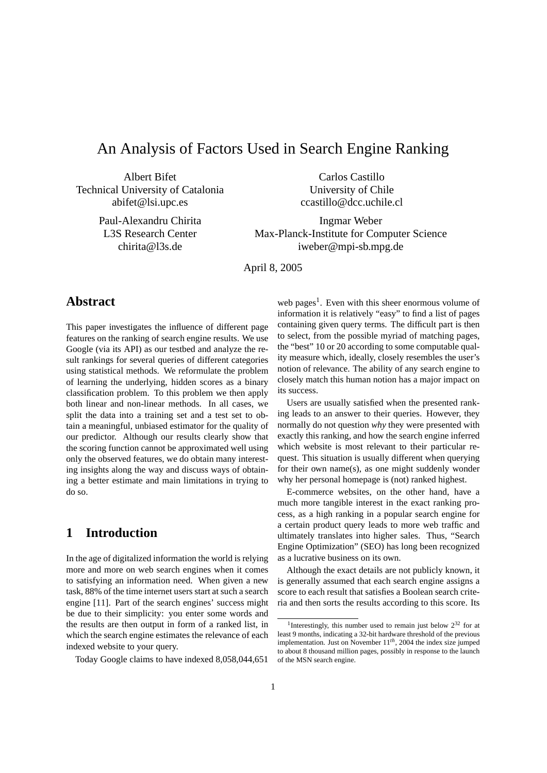# An Analysis of Factors Used in Search Engine Ranking

Albert Bifet Technical University of Catalonia abifet@lsi.upc.es

> Paul-Alexandru Chirita L3S Research Center chirita@l3s.de

Carlos Castillo University of Chile ccastillo@dcc.uchile.cl

Ingmar Weber Max-Planck-Institute for Computer Science iweber@mpi-sb.mpg.de

April 8, 2005

# **Abstract**

This paper investigates the influence of different page features on the ranking of search engine results. We use Google (via its API) as our testbed and analyze the result rankings for several queries of different categories using statistical methods. We reformulate the problem of learning the underlying, hidden scores as a binary classification problem. To this problem we then apply both linear and non-linear methods. In all cases, we split the data into a training set and a test set to obtain a meaningful, unbiased estimator for the quality of our predictor. Although our results clearly show that the scoring function cannot be approximated well using only the observed features, we do obtain many interesting insights along the way and discuss ways of obtaining a better estimate and main limitations in trying to do so.

# **1 Introduction**

In the age of digitalized information the world is relying more and more on web search engines when it comes to satisfying an information need. When given a new task, 88% of the time internet users start at such a search engine [11]. Part of the search engines' success might be due to their simplicity: you enter some words and the results are then output in form of a ranked list, in which the search engine estimates the relevance of each indexed website to your query.

Today Google claims to have indexed 8,058,044,651

web pages<sup>1</sup>. Even with this sheer enormous volume of information it is relatively "easy" to find a list of pages containing given query terms. The difficult part is then to select, from the possible myriad of matching pages, the "best" 10 or 20 according to some computable quality measure which, ideally, closely resembles the user's notion of relevance. The ability of any search engine to closely match this human notion has a major impact on its success.

Users are usually satisfied when the presented ranking leads to an answer to their queries. However, they normally do not question *why* they were presented with exactly this ranking, and how the search engine inferred which website is most relevant to their particular request. This situation is usually different when querying for their own name(s), as one might suddenly wonder why her personal homepage is (not) ranked highest.

E-commerce websites, on the other hand, have a much more tangible interest in the exact ranking process, as a high ranking in a popular search engine for a certain product query leads to more web traffic and ultimately translates into higher sales. Thus, "Search Engine Optimization" (SEO) has long been recognized as a lucrative business on its own.

Although the exact details are not publicly known, it is generally assumed that each search engine assigns a score to each result that satisfies a Boolean search criteria and then sorts the results according to this score. Its

<sup>&</sup>lt;sup>1</sup>Interestingly, this number used to remain just below  $2^{32}$  for at least 9 months, indicating a 32-bit hardware threshold of the previous implementation. Just on November 11*th*, 2004 the index size jumped to about 8 thousand million pages, possibly in response to the launch of the MSN search engine.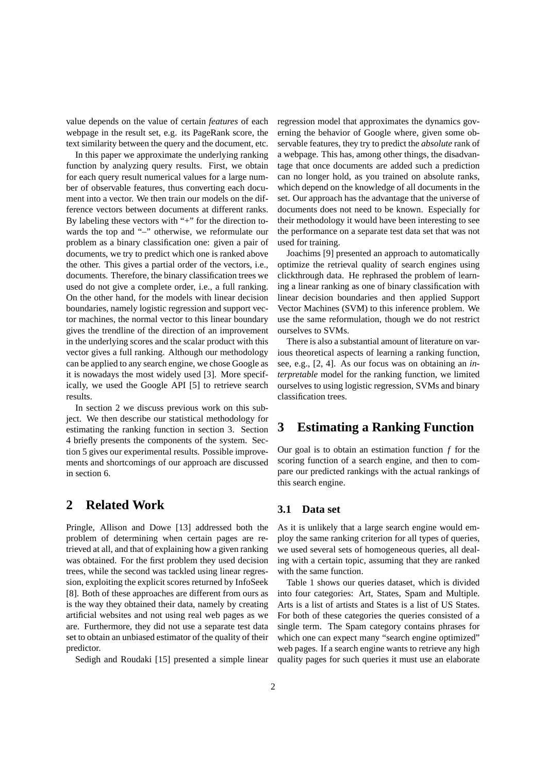value depends on the value of certain *features* of each webpage in the result set, e.g. its PageRank score, the text similarity between the query and the document, etc.

In this paper we approximate the underlying ranking function by analyzing query results. First, we obtain for each query result numerical values for a large number of observable features, thus converting each document into a vector. We then train our models on the difference vectors between documents at different ranks. By labeling these vectors with "+" for the direction towards the top and "–" otherwise, we reformulate our problem as a binary classification one: given a pair of documents, we try to predict which one is ranked above the other. This gives a partial order of the vectors, i.e., documents. Therefore, the binary classification trees we used do not give a complete order, i.e., a full ranking. On the other hand, for the models with linear decision boundaries, namely logistic regression and support vector machines, the normal vector to this linear boundary gives the trendline of the direction of an improvement in the underlying scores and the scalar product with this vector gives a full ranking. Although our methodology can be applied to any search engine, we chose Google as it is nowadays the most widely used [3]. More specifically, we used the Google API [5] to retrieve search results.

In section 2 we discuss previous work on this subject. We then describe our statistical methodology for estimating the ranking function in section 3. Section 4 briefly presents the components of the system. Section 5 gives our experimental results. Possible improvements and shortcomings of our approach are discussed in section 6.

### **2 Related Work**

Pringle, Allison and Dowe [13] addressed both the problem of determining when certain pages are retrieved at all, and that of explaining how a given ranking was obtained. For the first problem they used decision trees, while the second was tackled using linear regression, exploiting the explicit scores returned by InfoSeek [8]. Both of these approaches are different from ours as is the way they obtained their data, namely by creating artificial websites and not using real web pages as we are. Furthermore, they did not use a separate test data set to obtain an unbiased estimator of the quality of their predictor.

Sedigh and Roudaki [15] presented a simple linear

regression model that approximates the dynamics governing the behavior of Google where, given some observable features, they try to predict the *absolute* rank of a webpage. This has, among other things, the disadvantage that once documents are added such a prediction can no longer hold, as you trained on absolute ranks, which depend on the knowledge of all documents in the set. Our approach has the advantage that the universe of documents does not need to be known. Especially for their methodology it would have been interesting to see the performance on a separate test data set that was not used for training.

Joachims [9] presented an approach to automatically optimize the retrieval quality of search engines using clickthrough data. He rephrased the problem of learning a linear ranking as one of binary classification with linear decision boundaries and then applied Support Vector Machines (SVM) to this inference problem. We use the same reformulation, though we do not restrict ourselves to SVMs.

There is also a substantial amount of literature on various theoretical aspects of learning a ranking function, see, e.g., [2, 4]. As our focus was on obtaining an *interpretable* model for the ranking function, we limited ourselves to using logistic regression, SVMs and binary classification trees.

## **3 Estimating a Ranking Function**

Our goal is to obtain an estimation function *f* for the scoring function of a search engine, and then to compare our predicted rankings with the actual rankings of this search engine.

#### **3.1 Data set**

As it is unlikely that a large search engine would employ the same ranking criterion for all types of queries, we used several sets of homogeneous queries, all dealing with a certain topic, assuming that they are ranked with the same function.

Table 1 shows our queries dataset, which is divided into four categories: Art, States, Spam and Multiple. Arts is a list of artists and States is a list of US States. For both of these categories the queries consisted of a single term. The Spam category contains phrases for which one can expect many "search engine optimized" web pages. If a search engine wants to retrieve any high quality pages for such queries it must use an elaborate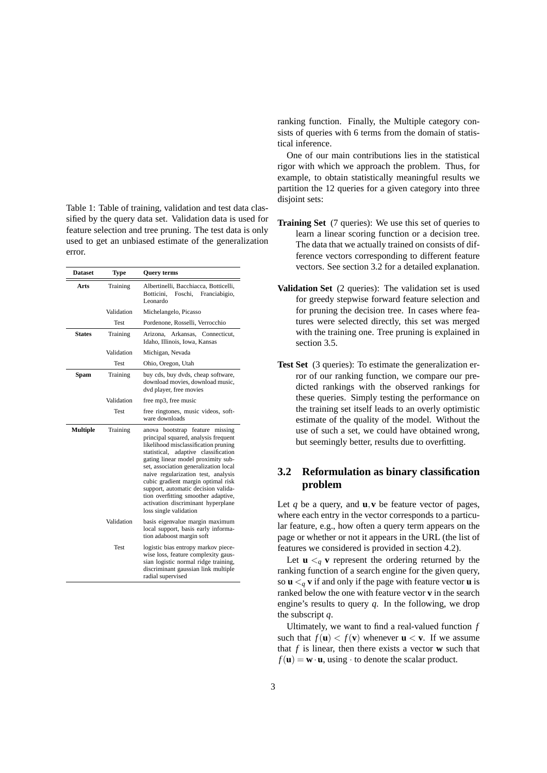Table 1: Table of training, validation and test data classified by the query data set. Validation data is used for feature selection and tree pruning. The test data is only used to get an unbiased estimate of the generalization error.

| <b>Dataset</b>  | Type        | <b>Query terms</b>                                                                                                                                                                                                                                                                                                                                                                                                                                                |  |  |  |  |
|-----------------|-------------|-------------------------------------------------------------------------------------------------------------------------------------------------------------------------------------------------------------------------------------------------------------------------------------------------------------------------------------------------------------------------------------------------------------------------------------------------------------------|--|--|--|--|
| Arts            | Training    | Albertinelli, Bacchiacca, Botticelli,<br>Botticini.<br>Foschi,<br>Franciabigio,<br>Leonardo                                                                                                                                                                                                                                                                                                                                                                       |  |  |  |  |
|                 | Validation  | Michelangelo, Picasso                                                                                                                                                                                                                                                                                                                                                                                                                                             |  |  |  |  |
|                 | Test        | Pordenone, Rosselli, Verrocchio                                                                                                                                                                                                                                                                                                                                                                                                                                   |  |  |  |  |
| <b>States</b>   | Training    | Arizona, Arkansas, Connecticut,<br>Idaho, Illinois, Iowa, Kansas                                                                                                                                                                                                                                                                                                                                                                                                  |  |  |  |  |
|                 | Validation  | Michigan, Nevada                                                                                                                                                                                                                                                                                                                                                                                                                                                  |  |  |  |  |
|                 | Test        | Ohio, Oregon, Utah                                                                                                                                                                                                                                                                                                                                                                                                                                                |  |  |  |  |
| Spam            | Training    | buy cds, buy dvds, cheap software,<br>download movies, download music,<br>dvd player, free movies                                                                                                                                                                                                                                                                                                                                                                 |  |  |  |  |
|                 | Validation  | free mp3, free music                                                                                                                                                                                                                                                                                                                                                                                                                                              |  |  |  |  |
|                 | <b>Test</b> | free ringtones, music videos, soft-<br>ware downloads                                                                                                                                                                                                                                                                                                                                                                                                             |  |  |  |  |
| <b>Multiple</b> | Training    | anova bootstrap feature missing<br>principal squared, analysis frequent<br>likelihood misclassification pruning<br>statistical, adaptive classification<br>gating linear model proximity sub-<br>set, association generalization local<br>naive regularization test, analysis<br>cubic gradient margin optimal risk<br>support, automatic decision valida-<br>tion overfitting smoother adaptive,<br>activation discriminant hyperplane<br>loss single validation |  |  |  |  |
|                 | Validation  | basis eigenvalue margin maximum<br>local support, basis early informa-<br>tion adaboost margin soft                                                                                                                                                                                                                                                                                                                                                               |  |  |  |  |
|                 | <b>Test</b> | logistic bias entropy markov piece-<br>wise loss, feature complexity gaus-<br>sian logistic normal ridge training,<br>discriminant gaussian link multiple<br>radial supervised                                                                                                                                                                                                                                                                                    |  |  |  |  |

ranking function. Finally, the Multiple category consists of queries with 6 terms from the domain of statistical inference.

One of our main contributions lies in the statistical rigor with which we approach the problem. Thus, for example, to obtain statistically meaningful results we partition the 12 queries for a given category into three disjoint sets:

- **Training Set** (7 queries): We use this set of queries to learn a linear scoring function or a decision tree. The data that we actually trained on consists of difference vectors corresponding to different feature vectors. See section 3.2 for a detailed explanation.
- **Validation Set** (2 queries): The validation set is used for greedy stepwise forward feature selection and for pruning the decision tree. In cases where features were selected directly, this set was merged with the training one. Tree pruning is explained in section 3.5.
- **Test Set** (3 queries): To estimate the generalization error of our ranking function, we compare our predicted rankings with the observed rankings for these queries. Simply testing the performance on the training set itself leads to an overly optimistic estimate of the quality of the model. Without the use of such a set, we could have obtained wrong, but seemingly better, results due to overfitting.

### **3.2 Reformulation as binary classification problem**

Let *q* be a query, and **u**,**v** be feature vector of pages, where each entry in the vector corresponds to a particular feature, e.g., how often a query term appears on the page or whether or not it appears in the URL (the list of features we considered is provided in section 4.2).

Let  $\mathbf{u} \leq q \mathbf{v}$  represent the ordering returned by the ranking function of a search engine for the given query, so  $\mathbf{u} \leq a \mathbf{v}$  if and only if the page with feature vector **u** is ranked below the one with feature vector **v** in the search engine's results to query *q*. In the following, we drop the subscript *q*.

Ultimately, we want to find a real-valued function *f* such that  $f(\mathbf{u}) < f(\mathbf{v})$  whenever  $\mathbf{u} < \mathbf{v}$ . If we assume that *f* is linear, then there exists a vector **w** such that  $f(\mathbf{u}) = \mathbf{w} \cdot \mathbf{u}$ , using  $\cdot$  to denote the scalar product.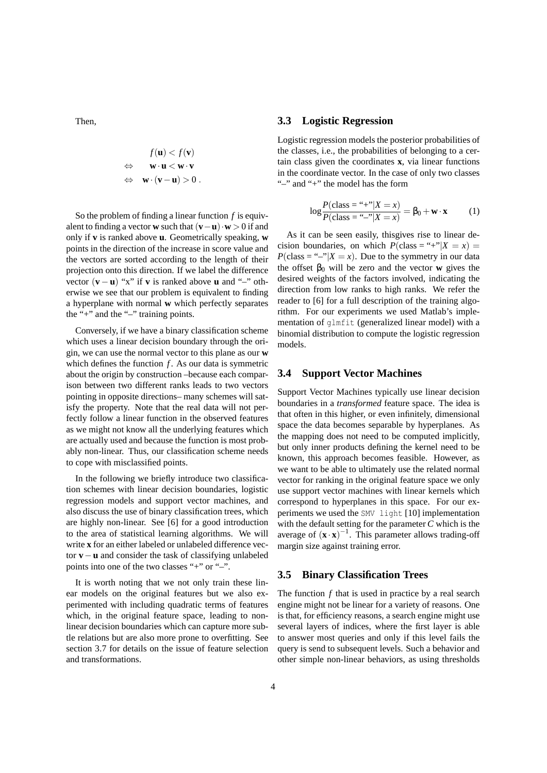Then,

$$
f(\mathbf{u}) < f(\mathbf{v})
$$
\n
$$
\Leftrightarrow \quad \mathbf{w} \cdot \mathbf{u} < \mathbf{w} \cdot \mathbf{v}
$$
\n
$$
\Leftrightarrow \quad \mathbf{w} \cdot (\mathbf{v} - \mathbf{u}) > 0 \, .
$$

So the problem of finding a linear function *f* is equivalent to finding a vector **w** such that  $(\mathbf{v}-\mathbf{u})\cdot\mathbf{w} > 0$  if and only if **v** is ranked above **u**. Geometrically speaking, **w** points in the direction of the increase in score value and the vectors are sorted according to the length of their projection onto this direction. If we label the difference vector  $(\mathbf{v} - \mathbf{u})$  "x" if **v** is ranked above **u** and "–" otherwise we see that our problem is equivalent to finding a hyperplane with normal **w** which perfectly separates the "+" and the "–" training points.

Conversely, if we have a binary classification scheme which uses a linear decision boundary through the origin, we can use the normal vector to this plane as our **w** which defines the function *f* . As our data is symmetric about the origin by construction –because each comparison between two different ranks leads to two vectors pointing in opposite directions– many schemes will satisfy the property. Note that the real data will not perfectly follow a linear function in the observed features as we might not know all the underlying features which are actually used and because the function is most probably non-linear. Thus, our classification scheme needs to cope with misclassified points.

In the following we briefly introduce two classification schemes with linear decision boundaries, logistic regression models and support vector machines, and also discuss the use of binary classification trees, which are highly non-linear. See [6] for a good introduction to the area of statistical learning algorithms. We will write **x** for an either labeled or unlabeled difference vector **v**−**u** and consider the task of classifying unlabeled points into one of the two classes "+" or "–".

It is worth noting that we not only train these linear models on the original features but we also experimented with including quadratic terms of features which, in the original feature space, leading to nonlinear decision boundaries which can capture more subtle relations but are also more prone to overfitting. See section 3.7 for details on the issue of feature selection and transformations.

#### **3.3 Logistic Regression**

Logistic regression models the posterior probabilities of the classes, i.e., the probabilities of belonging to a certain class given the coordinates **x**, via linear functions in the coordinate vector. In the case of only two classes "–" and "+" the model has the form

$$
\log \frac{P(\text{class} = ``+''|X = x)}{P(\text{class} = ``-''|X = x)} = \beta_0 + \mathbf{w} \cdot \mathbf{x}
$$
 (1)

As it can be seen easily, thisgives rise to linear decision boundaries, on which  $P(\text{class} = "|X = x) =$  $P(\text{class} = \text{``-''}|X=x)$ . Due to the symmetry in our data the offset  $\beta_0$  will be zero and the vector **w** gives the desired weights of the factors involved, indicating the direction from low ranks to high ranks. We refer the reader to [6] for a full description of the training algorithm. For our experiments we used Matlab's implementation of glmfit (generalized linear model) with a binomial distribution to compute the logistic regression models.

#### **3.4 Support Vector Machines**

Support Vector Machines typically use linear decision boundaries in a *transformed* feature space. The idea is that often in this higher, or even infinitely, dimensional space the data becomes separable by hyperplanes. As the mapping does not need to be computed implicitly, but only inner products defining the kernel need to be known, this approach becomes feasible. However, as we want to be able to ultimately use the related normal vector for ranking in the original feature space we only use support vector machines with linear kernels which correspond to hyperplanes in this space. For our experiments we used the SMV light [10] implementation with the default setting for the parameter *C* which is the average of  $(x \cdot x)^{-1}$ . This parameter allows trading-off margin size against training error.

#### **3.5 Binary Classification Trees**

The function *f* that is used in practice by a real search engine might not be linear for a variety of reasons. One is that, for efficiency reasons, a search engine might use several layers of indices, where the first layer is able to answer most queries and only if this level fails the query is send to subsequent levels. Such a behavior and other simple non-linear behaviors, as using thresholds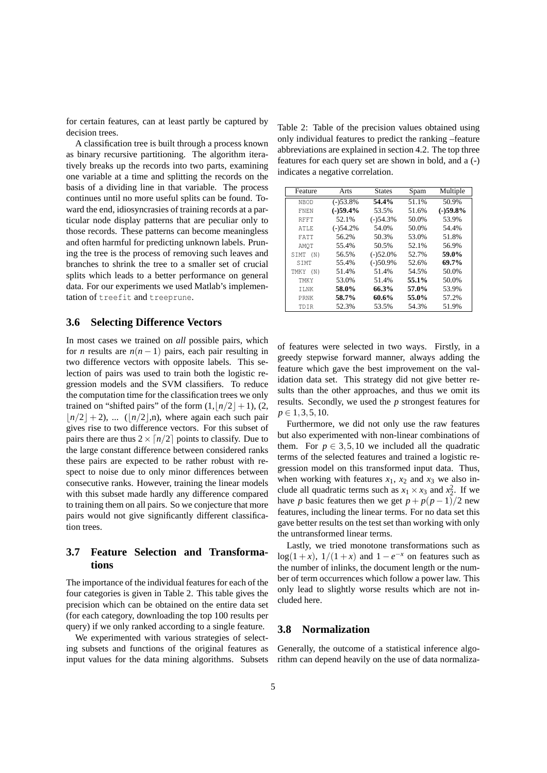for certain features, can at least partly be captured by decision trees.

A classification tree is built through a process known as binary recursive partitioning. The algorithm iteratively breaks up the records into two parts, examining one variable at a time and splitting the records on the basis of a dividing line in that variable. The process continues until no more useful splits can be found. Toward the end, idiosyncrasies of training records at a particular node display patterns that are peculiar only to those records. These patterns can become meaningless and often harmful for predicting unknown labels. Pruning the tree is the process of removing such leaves and branches to shrink the tree to a smaller set of crucial splits which leads to a better performance on general data. For our experiments we used Matlab's implementation of treefit and treeprune.

#### **3.6 Selecting Difference Vectors**

In most cases we trained on *all* possible pairs, which for *n* results are  $n(n-1)$  pairs, each pair resulting in two difference vectors with opposite labels. This selection of pairs was used to train both the logistic regression models and the SVM classifiers. To reduce the computation time for the classification trees we only trained on "shifted pairs" of the form  $(1, |n/2| + 1)$ , (2,  $\vert n/2 \vert + 2$ ), ... ( $\vert n/2 \vert$ ,n), where again each such pair gives rise to two difference vectors. For this subset of pairs there are thus  $2 \times \lceil n/2 \rceil$  points to classify. Due to the large constant difference between considered ranks these pairs are expected to be rather robust with respect to noise due to only minor differences between consecutive ranks. However, training the linear models with this subset made hardly any difference compared to training them on all pairs. So we conjecture that more pairs would not give significantly different classification trees.

### **3.7 Feature Selection and Transformations**

The importance of the individual features for each of the four categories is given in Table 2. This table gives the precision which can be obtained on the entire data set (for each category, downloading the top 100 results per query) if we only ranked according to a single feature.

We experimented with various strategies of selecting subsets and functions of the original features as input values for the data mining algorithms. Subsets

Table 2: Table of the precision values obtained using only individual features to predict the ranking –feature abbreviations are explained in section 4.2. The top three features for each query set are shown in bold, and a (-) indicates a negative correlation.

| Feature     | Arts       | <b>States</b> | Spam  | Multiple   |
|-------------|------------|---------------|-------|------------|
| NBOD        | $(-)53.8%$ | 54.4%         | 51.1% | 50.9%      |
| <b>FNEN</b> | $(-)59.4%$ | 53.5%         | 51.6% | $(-)59.8%$ |
| RFFT        | 52.1%      | $(-)54.3%$    | 50.0% | 53.9%      |
| ATLE        | $(-)54.2%$ | 54.0%         | 50.0% | 54.4%      |
| FATT        | 56.2%      | 50.3%         | 53.0% | 51.8%      |
| AMOT        | 55.4%      | 50.5%         | 52.1% | 56.9%      |
| SIMT (N)    | 56.5%      | $(-)52.0%$    | 52.7% | 59.0%      |
| <b>STMT</b> | 55.4%      | $(-)50.9%$    | 52.6% | 69.7%      |
| TMKY (N)    | 51.4%      | 51.4%         | 54.5% | 50.0%      |
| TMKY        | 53.0%      | 51.4%         | 55.1% | 50.0%      |
| ILNK        | 58.0%      | 66.3%         | 57.0% | 53.9%      |
| PRNK        | 58.7%      | 60.6%         | 55.0% | 57.2%      |
| TDTR        | 52.3%      | 53.5%         | 54.3% | 51.9%      |

of features were selected in two ways. Firstly, in a greedy stepwise forward manner, always adding the feature which gave the best improvement on the validation data set. This strategy did not give better results than the other approaches, and thus we omit its results. Secondly, we used the *p* strongest features for *p* ∈ 1, 3, 5, 10.

Furthermore, we did not only use the raw features but also experimented with non-linear combinations of them. For  $p \in 3, 5, 10$  we included all the quadratic terms of the selected features and trained a logistic regression model on this transformed input data. Thus, when working with features  $x_1$ ,  $x_2$  and  $x_3$  we also include all quadratic terms such as  $x_1 \times x_3$  and  $x_2^2$ . If we have *p* basic features then we get  $p + p(p-1)/2$  new features, including the linear terms. For no data set this gave better results on the test set than working with only the untransformed linear terms.

Lastly, we tried monotone transformations such as  $log(1 + x)$ ,  $1/(1 + x)$  and  $1 - e^{-x}$  on features such as the number of inlinks, the document length or the number of term occurrences which follow a power law. This only lead to slightly worse results which are not included here.

#### **3.8 Normalization**

Generally, the outcome of a statistical inference algorithm can depend heavily on the use of data normaliza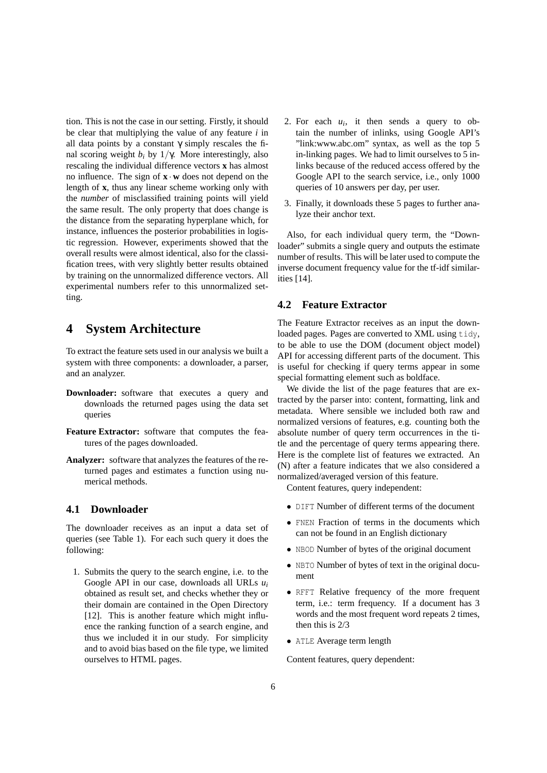tion. This is not the case in our setting. Firstly, it should be clear that multiplying the value of any feature *i* in all data points by a constant  $\gamma$  simply rescales the final scoring weight  $b_i$  by 1/γ. More interestingly, also rescaling the individual difference vectors **x** has almost no influence. The sign of **x** · **w** does not depend on the length of **x**, thus any linear scheme working only with the *number* of misclassified training points will yield the same result. The only property that does change is the distance from the separating hyperplane which, for instance, influences the posterior probabilities in logistic regression. However, experiments showed that the overall results were almost identical, also for the classification trees, with very slightly better results obtained by training on the unnormalized difference vectors. All experimental numbers refer to this unnormalized setting.

### **4 System Architecture**

To extract the feature sets used in our analysis we built a system with three components: a downloader, a parser, and an analyzer.

- **Downloader:** software that executes a query and downloads the returned pages using the data set queries
- **Feature Extractor:** software that computes the features of the pages downloaded.
- **Analyzer:** software that analyzes the features of the returned pages and estimates a function using numerical methods.

#### **4.1 Downloader**

The downloader receives as an input a data set of queries (see Table 1). For each such query it does the following:

1. Submits the query to the search engine, i.e. to the Google API in our case, downloads all URLs *u<sup>i</sup>* obtained as result set, and checks whether they or their domain are contained in the Open Directory [12]. This is another feature which might influence the ranking function of a search engine, and thus we included it in our study. For simplicity and to avoid bias based on the file type, we limited ourselves to HTML pages.

- 2. For each  $u_i$ , it then sends a query to obtain the number of inlinks, using Google API's "link:www.abc.om" syntax, as well as the top 5 in-linking pages. We had to limit ourselves to 5 inlinks because of the reduced access offered by the Google API to the search service, i.e., only 1000 queries of 10 answers per day, per user.
- 3. Finally, it downloads these 5 pages to further analyze their anchor text.

Also, for each individual query term, the "Downloader" submits a single query and outputs the estimate number of results. This will be later used to compute the inverse document frequency value for the tf-idf similarities [14].

#### **4.2 Feature Extractor**

The Feature Extractor receives as an input the downloaded pages. Pages are converted to XML using tidy, to be able to use the DOM (document object model) API for accessing different parts of the document. This is useful for checking if query terms appear in some special formatting element such as boldface.

We divide the list of the page features that are extracted by the parser into: content, formatting, link and metadata. Where sensible we included both raw and normalized versions of features, e.g. counting both the absolute number of query term occurrences in the title and the percentage of query terms appearing there. Here is the complete list of features we extracted. An (N) after a feature indicates that we also considered a normalized/averaged version of this feature.

Content features, query independent:

- DIFT Number of different terms of the document
- FNEN Fraction of terms in the documents which can not be found in an English dictionary
- NBOD Number of bytes of the original document
- NBTO Number of bytes of text in the original document
- RFFT Relative frequency of the more frequent term, i.e.: term frequency. If a document has 3 words and the most frequent word repeats 2 times, then this is 2/3
- ATLE Average term length

Content features, query dependent: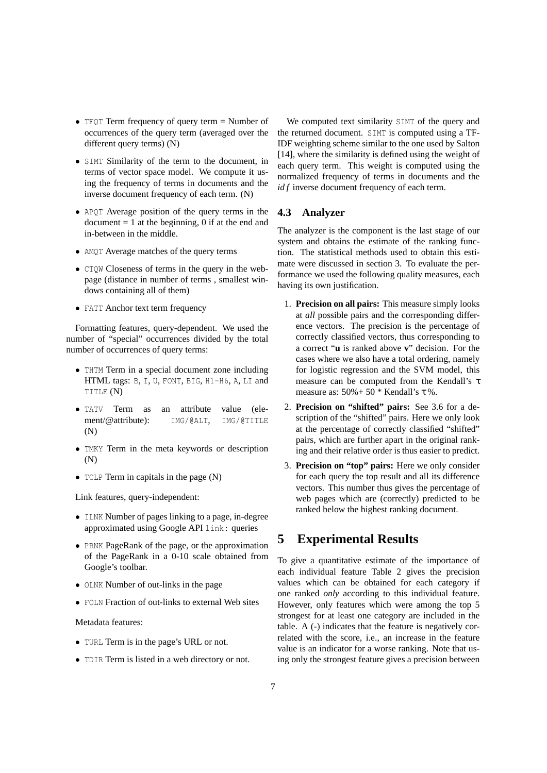- TFQT Term frequency of query term = Number of occurrences of the query term (averaged over the different query terms) (N)
- SIMT Similarity of the term to the document, in terms of vector space model. We compute it using the frequency of terms in documents and the inverse document frequency of each term. (N)
- APQT Average position of the query terms in the  $document = 1$  at the beginning, 0 if at the end and in-between in the middle.
- AMQT Average matches of the query terms
- CTQW Closeness of terms in the query in the webpage (distance in number of terms , smallest windows containing all of them)
- FATT Anchor text term frequency

Formatting features, query-dependent. We used the number of "special" occurrences divided by the total number of occurrences of query terms:

- THTM Term in a special document zone including HTML tags: B, I, U, FONT, BIG, H1-H6, A, LI and TITLE (N)
- TATV Term as an attribute value (element/@attribute): IMG/@ALT, IMG/@TITLE (N)
- TMKY Term in the meta keywords or description (N)
- TCLP Term in capitals in the page (N)

Link features, query-independent:

- ILNK Number of pages linking to a page, in-degree approximated using Google API link: queries
- PRNK PageRank of the page, or the approximation of the PageRank in a 0-10 scale obtained from Google's toolbar.
- OLNK Number of out-links in the page
- FOLN Fraction of out-links to external Web sites

#### Metadata features:

- TURL Term is in the page's URL or not.
- TDIR Term is listed in a web directory or not.

We computed text similarity SIMT of the query and the returned document. SIMT is computed using a TF-IDF weighting scheme similar to the one used by Salton [14], where the similarity is defined using the weight of each query term. This weight is computed using the normalized frequency of terms in documents and the *id f* inverse document frequency of each term.

#### **4.3 Analyzer**

The analyzer is the component is the last stage of our system and obtains the estimate of the ranking function. The statistical methods used to obtain this estimate were discussed in section 3. To evaluate the performance we used the following quality measures, each having its own justification.

- 1. **Precision on all pairs:** This measure simply looks at *all* possible pairs and the corresponding difference vectors. The precision is the percentage of correctly classified vectors, thus corresponding to a correct "**u** is ranked above **v**" decision. For the cases where we also have a total ordering, namely for logistic regression and the SVM model, this measure can be computed from the Kendall's τ measure as:  $50\% + 50$  \* Kendall's  $\tau$  %.
- 2. **Precision on "shifted" pairs:** See 3.6 for a description of the "shifted" pairs. Here we only look at the percentage of correctly classified "shifted" pairs, which are further apart in the original ranking and their relative order is thus easier to predict.
- 3. **Precision on "top" pairs:** Here we only consider for each query the top result and all its difference vectors. This number thus gives the percentage of web pages which are (correctly) predicted to be ranked below the highest ranking document.

# **5 Experimental Results**

To give a quantitative estimate of the importance of each individual feature Table 2 gives the precision values which can be obtained for each category if one ranked *only* according to this individual feature. However, only features which were among the top 5 strongest for at least one category are included in the table. A (-) indicates that the feature is negatively correlated with the score, i.e., an increase in the feature value is an indicator for a worse ranking. Note that using only the strongest feature gives a precision between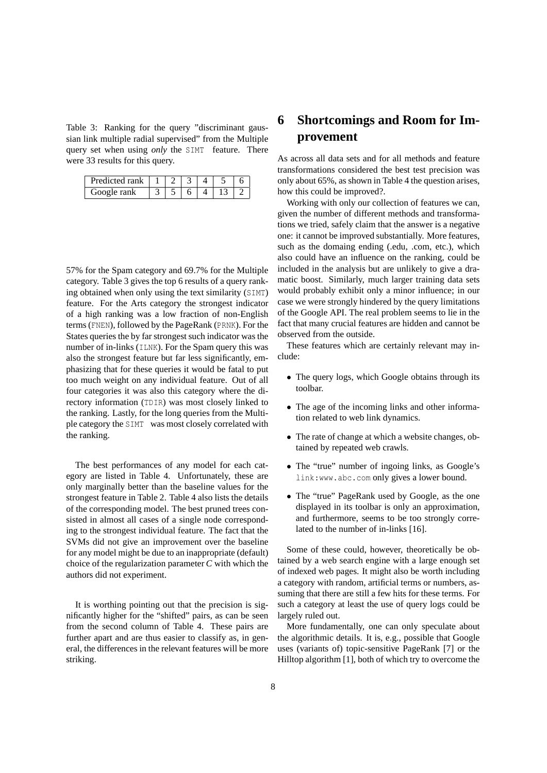Table 3: Ranking for the query "discriminant gaussian link multiple radial supervised" from the Multiple query set when using *only* the SIMT feature. There were 33 results for this query.

| Predicted rank |  |  |  |
|----------------|--|--|--|
| Google rank    |  |  |  |

57% for the Spam category and 69.7% for the Multiple category. Table 3 gives the top 6 results of a query ranking obtained when only using the text similarity (SIMT) feature. For the Arts category the strongest indicator of a high ranking was a low fraction of non-English terms (FNEN), followed by the PageRank (PRNK). For the States queries the by far strongest such indicator was the number of in-links (ILNK). For the Spam query this was also the strongest feature but far less significantly, emphasizing that for these queries it would be fatal to put too much weight on any individual feature. Out of all four categories it was also this category where the directory information (TDIR) was most closely linked to the ranking. Lastly, for the long queries from the Multiple category the SIMT was most closely correlated with the ranking.

The best performances of any model for each category are listed in Table 4. Unfortunately, these are only marginally better than the baseline values for the strongest feature in Table 2. Table 4 also lists the details of the corresponding model. The best pruned trees consisted in almost all cases of a single node corresponding to the strongest individual feature. The fact that the SVMs did not give an improvement over the baseline for any model might be due to an inappropriate (default) choice of the regularization parameter *C* with which the authors did not experiment.

It is worthing pointing out that the precision is significantly higher for the "shifted" pairs, as can be seen from the second column of Table 4. These pairs are further apart and are thus easier to classify as, in general, the differences in the relevant features will be more striking.

# **6 Shortcomings and Room for Improvement**

As across all data sets and for all methods and feature transformations considered the best test precision was only about 65%, as shown in Table 4 the question arises, how this could be improved?.

Working with only our collection of features we can, given the number of different methods and transformations we tried, safely claim that the answer is a negative one: it cannot be improved substantially. More features, such as the domaing ending (.edu, .com, etc.), which also could have an influence on the ranking, could be included in the analysis but are unlikely to give a dramatic boost. Similarly, much larger training data sets would probably exhibit only a minor influence; in our case we were strongly hindered by the query limitations of the Google API. The real problem seems to lie in the fact that many crucial features are hidden and cannot be observed from the outside.

These features which are certainly relevant may include:

- The query logs, which Google obtains through its toolbar.
- The age of the incoming links and other information related to web link dynamics.
- The rate of change at which a website changes, obtained by repeated web crawls.
- The "true" number of ingoing links, as Google's link:www.abc.com only gives a lower bound.
- The "true" PageRank used by Google, as the one displayed in its toolbar is only an approximation, and furthermore, seems to be too strongly correlated to the number of in-links [16].

Some of these could, however, theoretically be obtained by a web search engine with a large enough set of indexed web pages. It might also be worth including a category with random, artificial terms or numbers, assuming that there are still a few hits for these terms. For such a category at least the use of query logs could be largely ruled out.

More fundamentally, one can only speculate about the algorithmic details. It is, e.g., possible that Google uses (variants of) topic-sensitive PageRank [7] or the Hilltop algorithm [1], both of which try to overcome the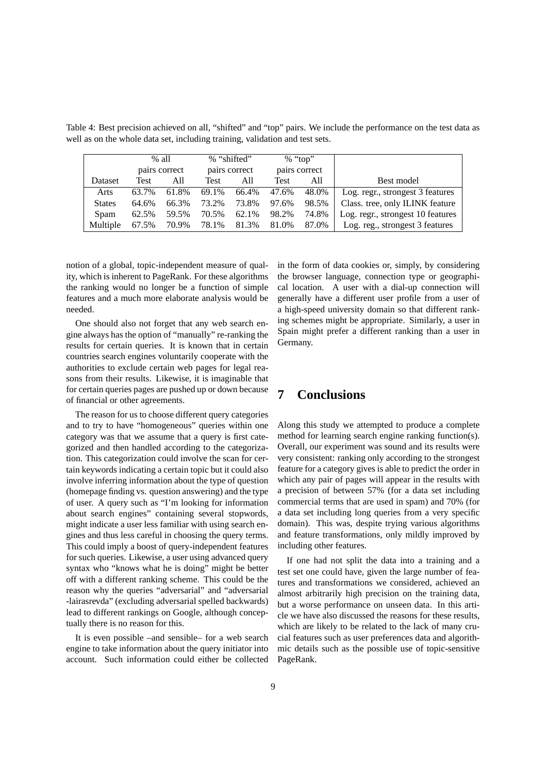|               |       | $%$ all       | % "shifted" |               |               | % "top" |                                   |
|---------------|-------|---------------|-------------|---------------|---------------|---------|-----------------------------------|
|               |       | pairs correct |             | pairs correct | pairs correct |         |                                   |
| Dataset       | Test  | All           | Test        | All           | Test          | All     | Best model                        |
| Arts          | 63.7% | 61.8%         | 69.1%       | 66.4%         | 47.6%         | 48.0%   | Log. regr., strongest 3 features  |
| <b>States</b> | 64.6% | 66.3%         | 73.2%       | 73.8%         | 97.6%         | 98.5%   | Class. tree, only ILINK feature   |
| Spam          | 62.5% | 59.5%         | 70.5%       | 62.1%         | 98.2%         | 74.8%   | Log. regr., strongest 10 features |
| Multiple      | 67.5% | 70.9%         | 78.1%       | 81.3%         | 81.0%         | 87.0%   | Log. reg., strongest 3 features   |

Table 4: Best precision achieved on all, "shifted" and "top" pairs. We include the performance on the test data as well as on the whole data set, including training, validation and test sets.

notion of a global, topic-independent measure of quality, which is inherent to PageRank. For these algorithms the ranking would no longer be a function of simple features and a much more elaborate analysis would be needed.

One should also not forget that any web search engine always has the option of "manually" re-ranking the results for certain queries. It is known that in certain countries search engines voluntarily cooperate with the authorities to exclude certain web pages for legal reasons from their results. Likewise, it is imaginable that for certain queries pages are pushed up or down because of financial or other agreements.

The reason for us to choose different query categories and to try to have "homogeneous" queries within one category was that we assume that a query is first categorized and then handled according to the categorization. This categorization could involve the scan for certain keywords indicating a certain topic but it could also involve inferring information about the type of question (homepage finding vs. question answering) and the type of user. A query such as "I'm looking for information about search engines" containing several stopwords, might indicate a user less familiar with using search engines and thus less careful in choosing the query terms. This could imply a boost of query-independent features for such queries. Likewise, a user using advanced query syntax who "knows what he is doing" might be better off with a different ranking scheme. This could be the reason why the queries "adversarial" and "adversarial -lairasrevda" (excluding adversarial spelled backwards) lead to different rankings on Google, although conceptually there is no reason for this.

It is even possible –and sensible– for a web search engine to take information about the query initiator into account. Such information could either be collected in the form of data cookies or, simply, by considering the browser language, connection type or geographical location. A user with a dial-up connection will generally have a different user profile from a user of a high-speed university domain so that different ranking schemes might be appropriate. Similarly, a user in Spain might prefer a different ranking than a user in Germany.

### **7 Conclusions**

Along this study we attempted to produce a complete method for learning search engine ranking function(s). Overall, our experiment was sound and its results were very consistent: ranking only according to the strongest feature for a category gives is able to predict the order in which any pair of pages will appear in the results with a precision of between 57% (for a data set including commercial terms that are used in spam) and 70% (for a data set including long queries from a very specific domain). This was, despite trying various algorithms and feature transformations, only mildly improved by including other features.

If one had not split the data into a training and a test set one could have, given the large number of features and transformations we considered, achieved an almost arbitrarily high precision on the training data, but a worse performance on unseen data. In this article we have also discussed the reasons for these results, which are likely to be related to the lack of many crucial features such as user preferences data and algorithmic details such as the possible use of topic-sensitive PageRank.